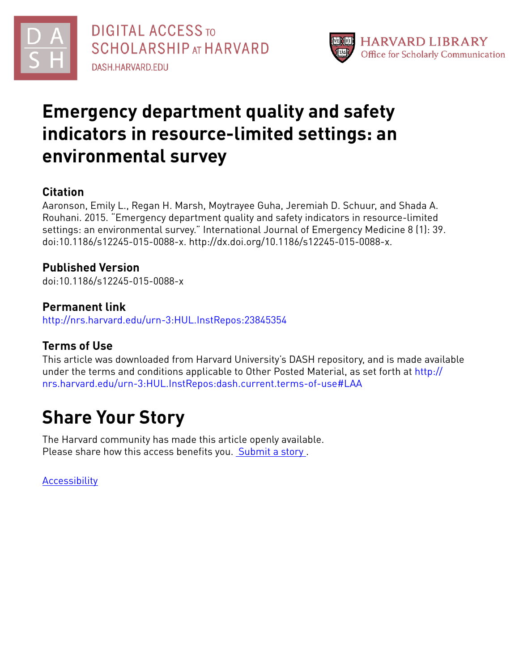



# **Emergency department quality and safety indicators in resource-limited settings: an environmental survey**

## **Citation**

Aaronson, Emily L., Regan H. Marsh, Moytrayee Guha, Jeremiah D. Schuur, and Shada A. Rouhani. 2015. "Emergency department quality and safety indicators in resource-limited settings: an environmental survey." International Journal of Emergency Medicine 8 (1): 39. doi:10.1186/s12245-015-0088-x. http://dx.doi.org/10.1186/s12245-015-0088-x.

## **Published Version**

doi:10.1186/s12245-015-0088-x

## **Permanent link**

<http://nrs.harvard.edu/urn-3:HUL.InstRepos:23845354>

## **Terms of Use**

This article was downloaded from Harvard University's DASH repository, and is made available under the terms and conditions applicable to Other Posted Material, as set forth at [http://](http://nrs.harvard.edu/urn-3:HUL.InstRepos:dash.current.terms-of-use#LAA) [nrs.harvard.edu/urn-3:HUL.InstRepos:dash.current.terms-of-use#LAA](http://nrs.harvard.edu/urn-3:HUL.InstRepos:dash.current.terms-of-use#LAA)

# **Share Your Story**

The Harvard community has made this article openly available. Please share how this access benefits you. [Submit](http://osc.hul.harvard.edu/dash/open-access-feedback?handle=&title=Emergency%20department%20quality%20and%20safety%20indicators%20in%20resource-limited%20settings:%20an%20environmental%20survey&community=1/4454685&collection=1/4454686&owningCollection1/4454686&harvardAuthors=ac315981d0693e7abd9820c6162fcad4&department) a story.

[Accessibility](https://dash.harvard.edu/pages/accessibility)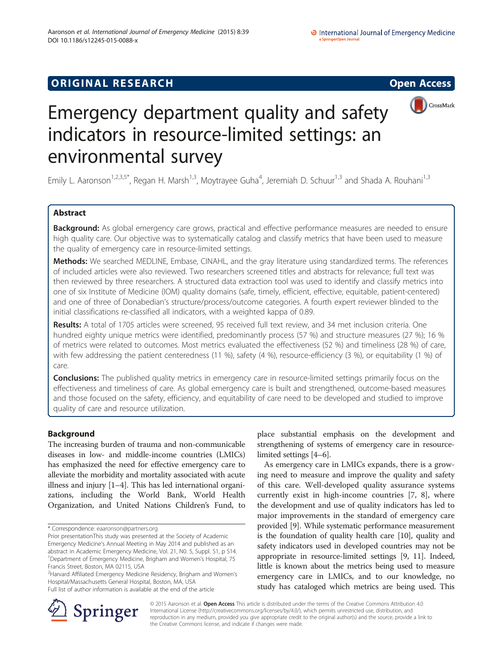## **ORIGINAL RESEARCH CONSUMING ACCESS**



# Emergency department quality and safety indicators in resource-limited settings: an environmental survey

Emily L. Aaronson<sup>1,2,3,5\*</sup>, Regan H. Marsh<sup>1,3</sup>, Moytrayee Guha<sup>4</sup>, Jeremiah D. Schuur<sup>1,3</sup> and Shada A. Rouhani<sup>1,3</sup>

### Abstract

Background: As global emergency care grows, practical and effective performance measures are needed to ensure high quality care. Our objective was to systematically catalog and classify metrics that have been used to measure the quality of emergency care in resource-limited settings.

Methods: We searched MEDLINE, Embase, CINAHL, and the gray literature using standardized terms. The references of included articles were also reviewed. Two researchers screened titles and abstracts for relevance; full text was then reviewed by three researchers. A structured data extraction tool was used to identify and classify metrics into one of six Institute of Medicine (IOM) quality domains (safe, timely, efficient, effective, equitable, patient-centered) and one of three of Donabedian's structure/process/outcome categories. A fourth expert reviewer blinded to the initial classifications re-classified all indicators, with a weighted kappa of 0.89.

Results: A total of 1705 articles were screened, 95 received full text review, and 34 met inclusion criteria. One hundred eighty unique metrics were identified, predominantly process (57 %) and structure measures (27 %); 16 % of metrics were related to outcomes. Most metrics evaluated the effectiveness (52 %) and timeliness (28 %) of care, with few addressing the patient centeredness (11 %), safety (4 %), resource-efficiency (3 %), or equitability (1 %) of care.

**Conclusions:** The published quality metrics in emergency care in resource-limited settings primarily focus on the effectiveness and timeliness of care. As global emergency care is built and strengthened, outcome-based measures and those focused on the safety, efficiency, and equitability of care need to be developed and studied to improve quality of care and resource utilization.

### Background

The increasing burden of trauma and non-communicable diseases in low- and middle-income countries (LMICs) has emphasized the need for effective emergency care to alleviate the morbidity and mortality associated with acute illness and injury [[1](#page-6-0)–[4](#page-6-0)]. This has led international organizations, including the World Bank, World Health Organization, and United Nations Children's Fund, to

<sup>2</sup>Harvard Affiliated Emergency Medicine Residency, Brigham and Women's Hospital/Massachusetts General Hospital, Boston, MA, USA Full list of author information is available at the end of the article

place substantial emphasis on the development and strengthening of systems of emergency care in resourcelimited settings [\[4](#page-6-0)–[6\]](#page-6-0).

As emergency care in LMICs expands, there is a growing need to measure and improve the quality and safety of this care. Well-developed quality assurance systems currently exist in high-income countries [\[7](#page-6-0), [8\]](#page-6-0), where the development and use of quality indicators has led to major improvements in the standard of emergency care provided [[9\]](#page-6-0). While systematic performance measurement is the foundation of quality health care [\[10\]](#page-6-0), quality and safety indicators used in developed countries may not be appropriate in resource-limited settings [\[9](#page-6-0), [11\]](#page-6-0). Indeed, little is known about the metrics being used to measure emergency care in LMICs, and to our knowledge, no study has cataloged which metrics are being used. This



© 2015 Aaronson et al. Open Access This article is distributed under the terms of the Creative Commons Attribution 4.0 International License ([http://creativecommons.org/licenses/by/4.0/\)](http://creativecommons.org/licenses/by/4.0/), which permits unrestricted use, distribution, and reproduction in any medium, provided you give appropriate credit to the original author(s) and the source, provide a link to the Creative Commons license, and indicate if changes were made.

<sup>\*</sup> Correspondence: [eaaronson@partners.org](mailto:eaaronson@partners.org)

Prior presentationThis study was presented at the Society of Academic Emergency Medicine's Annual Meeting in May 2014 and published as an abstract in Academic Emergency Medicine, Vol. 21, N0. 5, Suppl. S1, p S14. <sup>1</sup>Department of Emergency Medicine, Brigham and Women's Hospital, 75 Francis Street, Boston, MA 02115, USA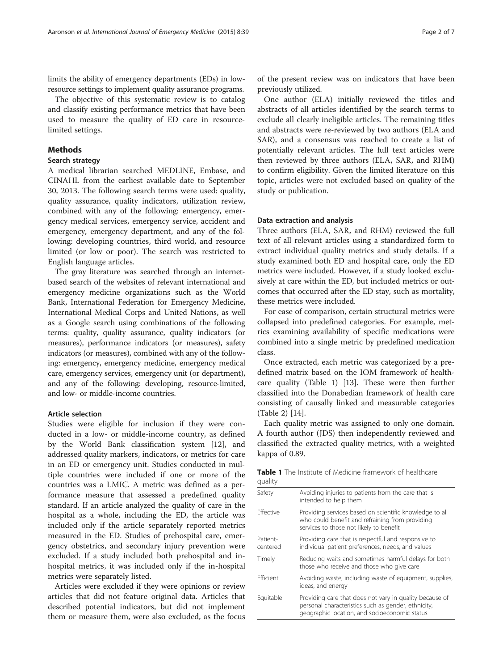limits the ability of emergency departments (EDs) in lowresource settings to implement quality assurance programs.

The objective of this systematic review is to catalog and classify existing performance metrics that have been used to measure the quality of ED care in resourcelimited settings.

#### Methods

#### Search strategy

A medical librarian searched MEDLINE, Embase, and CINAHL from the earliest available date to September 30, 2013. The following search terms were used: quality, quality assurance, quality indicators, utilization review, combined with any of the following: emergency, emergency medical services, emergency service, accident and emergency, emergency department, and any of the following: developing countries, third world, and resource limited (or low or poor). The search was restricted to English language articles.

The gray literature was searched through an internetbased search of the websites of relevant international and emergency medicine organizations such as the World Bank, International Federation for Emergency Medicine, International Medical Corps and United Nations, as well as a Google search using combinations of the following terms: quality, quality assurance, quality indicators (or measures), performance indicators (or measures), safety indicators (or measures), combined with any of the following: emergency, emergency medicine, emergency medical care, emergency services, emergency unit (or department), and any of the following: developing, resource-limited, and low- or middle-income countries.

#### Article selection

Studies were eligible for inclusion if they were conducted in a low- or middle-income country, as defined by the World Bank classification system [\[12\]](#page-6-0), and addressed quality markers, indicators, or metrics for care in an ED or emergency unit. Studies conducted in multiple countries were included if one or more of the countries was a LMIC. A metric was defined as a performance measure that assessed a predefined quality standard. If an article analyzed the quality of care in the hospital as a whole, including the ED, the article was included only if the article separately reported metrics measured in the ED. Studies of prehospital care, emergency obstetrics, and secondary injury prevention were excluded. If a study included both prehospital and inhospital metrics, it was included only if the in-hospital metrics were separately listed.

Articles were excluded if they were opinions or review articles that did not feature original data. Articles that described potential indicators, but did not implement them or measure them, were also excluded, as the focus of the present review was on indicators that have been previously utilized.

One author (ELA) initially reviewed the titles and abstracts of all articles identified by the search terms to exclude all clearly ineligible articles. The remaining titles and abstracts were re-reviewed by two authors (ELA and SAR), and a consensus was reached to create a list of potentially relevant articles. The full text articles were then reviewed by three authors (ELA, SAR, and RHM) to confirm eligibility. Given the limited literature on this topic, articles were not excluded based on quality of the study or publication.

#### Data extraction and analysis

Three authors (ELA, SAR, and RHM) reviewed the full text of all relevant articles using a standardized form to extract individual quality metrics and study details. If a study examined both ED and hospital care, only the ED metrics were included. However, if a study looked exclusively at care within the ED, but included metrics or outcomes that occurred after the ED stay, such as mortality, these metrics were included.

For ease of comparison, certain structural metrics were collapsed into predefined categories. For example, metrics examining availability of specific medications were combined into a single metric by predefined medication class.

Once extracted, each metric was categorized by a predefined matrix based on the IOM framework of healthcare quality (Table 1) [\[13](#page-6-0)]. These were then further classified into the Donabedian framework of health care consisting of causally linked and measurable categories (Table [2\)](#page-3-0) [\[14](#page-6-0)].

Each quality metric was assigned to only one domain. A fourth author (JDS) then independently reviewed and classified the extracted quality metrics, with a weighted kappa of 0.89.

Table 1 The Institute of Medicine framework of healthcare quality

| Safety               | Avoiding injuries to patients from the care that is<br>intended to help them                                                                                    |  |
|----------------------|-----------------------------------------------------------------------------------------------------------------------------------------------------------------|--|
| <b>Fffective</b>     | Providing services based on scientific knowledge to all<br>who could benefit and refraining from providing<br>services to those not likely to benefit           |  |
| Patient-<br>centered | Providing care that is respectful and responsive to<br>individual patient preferences, needs, and values                                                        |  |
| Timely               | Reducing waits and sometimes harmful delays for both<br>those who receive and those who give care                                                               |  |
| Ffficient            | Avoiding waste, including waste of equipment, supplies,<br>ideas, and energy                                                                                    |  |
| Equitable            | Providing care that does not vary in quality because of<br>personal characteristics such as gender, ethnicity,<br>geographic location, and socioeconomic status |  |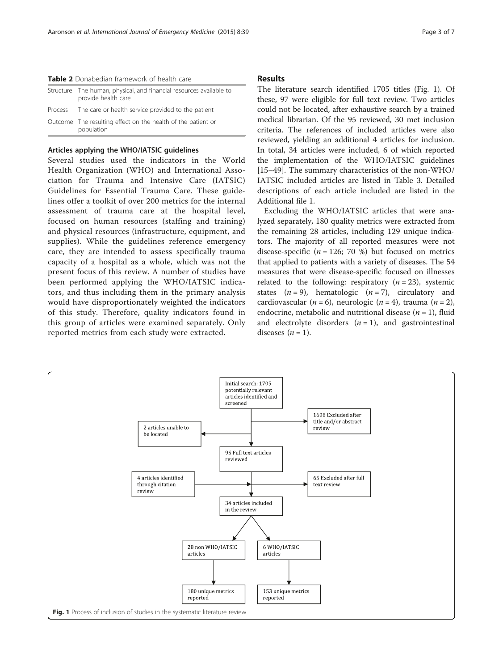<span id="page-3-0"></span>Aaronson et al. International Journal of Emergency Medicine (2015) 8:39 Page 3 of 7

| Table 2 Donabedian framework of health care |
|---------------------------------------------|
|---------------------------------------------|

| Structure The human, physical, and financial resources available to<br>provide health care |
|--------------------------------------------------------------------------------------------|
| Process The care or health service provided to the patient                                 |
| Outcome The resulting effect on the health of the patient or<br>population                 |

#### Articles applying the WHO/IATSIC guidelines

Several studies used the indicators in the World Health Organization (WHO) and International Association for Trauma and Intensive Care (IATSIC) Guidelines for Essential Trauma Care. These guidelines offer a toolkit of over 200 metrics for the internal assessment of trauma care at the hospital level, focused on human resources (staffing and training) and physical resources (infrastructure, equipment, and supplies). While the guidelines reference emergency care, they are intended to assess specifically trauma capacity of a hospital as a whole, which was not the present focus of this review. A number of studies have been performed applying the WHO/IATSIC indicators, and thus including them in the primary analysis would have disproportionately weighted the indicators of this study. Therefore, quality indicators found in this group of articles were examined separately. Only reported metrics from each study were extracted.

#### Results

The literature search identified 1705 titles (Fig. 1). Of these, 97 were eligible for full text review. Two articles could not be located, after exhaustive search by a trained medical librarian. Of the 95 reviewed, 30 met inclusion criteria. The references of included articles were also reviewed, yielding an additional 4 articles for inclusion. In total, 34 articles were included, 6 of which reported the implementation of the WHO/IATSIC guidelines [[15](#page-6-0)–[49](#page-7-0)]. The summary characteristics of the non-WHO/ IATSIC included articles are listed in Table [3](#page-4-0). Detailed descriptions of each article included are listed in the Additional file [1](#page-5-0).

Excluding the WHO/IATSIC articles that were analyzed separately, 180 quality metrics were extracted from the remaining 28 articles, including 129 unique indicators. The majority of all reported measures were not disease-specific ( $n = 126$ ; 70 %) but focused on metrics that applied to patients with a variety of diseases. The 54 measures that were disease-specific focused on illnesses related to the following: respiratory  $(n = 23)$ , systemic states  $(n = 9)$ , hematologic  $(n = 7)$ , circulatory and cardiovascular (*n* = 6), neurologic (*n* = 4), trauma (*n* = 2), endocrine, metabolic and nutritional disease  $(n = 1)$ , fluid and electrolyte disorders  $(n = 1)$ , and gastrointestinal diseases  $(n = 1)$ .

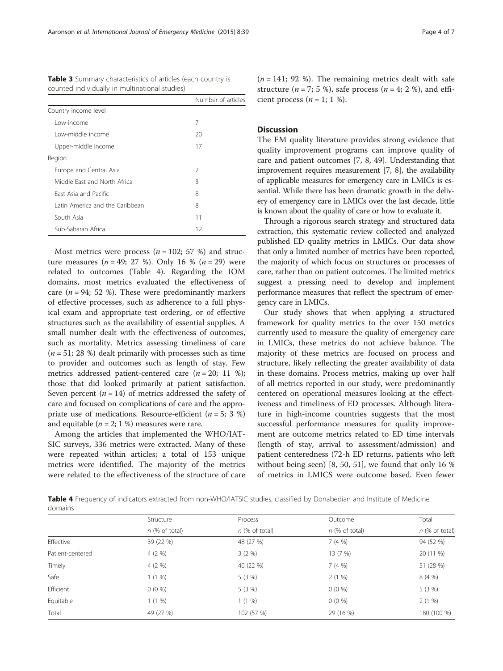Most metrics were process ( $n = 102$ ; 57 %) and structure measures ( $n = 49$ ; 27 %). Only 16 % ( $n = 29$ ) were related to outcomes (Table 4). Regarding the IOM domains, most metrics evaluated the effectiveness of care  $(n = 94; 52 \%)$ . These were predominantly markers of effective processes, such as adherence to a full physical exam and appropriate test ordering, or of effective structures such as the availability of essential supplies. A small number dealt with the effectiveness of outcomes, such as mortality. Metrics assessing timeliness of care  $(n = 51; 28 \%)$  dealt primarily with processes such as time to provider and outcomes such as length of stay. Few metrics addressed patient-centered care  $(n = 20; 11 \%)$ ; those that did looked primarily at patient satisfaction. Seven percent  $(n = 14)$  of metrics addressed the safety of care and focused on complications of care and the appropriate use of medications. Resource-efficient ( $n = 5$ ; 3 %) and equitable ( $n = 2$ ; 1 %) measures were rare.

Among the articles that implemented the WHO/IAT-SIC surveys, 336 metrics were extracted. Many of these were repeated within articles; a total of 153 unique metrics were identified. The majority of the metrics were related to the effectiveness of the structure of care  $(n = 141; 92 \%)$ . The remaining metrics dealt with safe structure ( $n = 7$ ; 5 %), safe process ( $n = 4$ ; 2 %), and efficient process  $(n = 1; 1 \%)$ .

#### **Discussion**

Number of articles

The EM quality literature provides strong evidence that quality improvement programs can improve quality of care and patient outcomes [[7, 8](#page-6-0), [49\]](#page-7-0). Understanding that improvement requires measurement [\[7, 8](#page-6-0)], the availability of applicable measures for emergency care in LMICs is essential. While there has been dramatic growth in the delivery of emergency care in LMICs over the last decade, little is known about the quality of care or how to evaluate it.

Through a rigorous search strategy and structured data extraction, this systematic review collected and analyzed published ED quality metrics in LMICs. Our data show that only a limited number of metrics have been reported, the majority of which focus on structures or processes of care, rather than on patient outcomes. The limited metrics suggest a pressing need to develop and implement performance measures that reflect the spectrum of emergency care in LMICs.

Our study shows that when applying a structured framework for quality metrics to the over 150 metrics currently used to measure the quality of emergency care in LMICs, these metrics do not achieve balance. The majority of these metrics are focused on process and structure, likely reflecting the greater availability of data in these domains. Process metrics, making up over half of all metrics reported in our study, were predominantly centered on operational measures looking at the effectiveness and timeliness of ED processes. Although literature in high-income countries suggests that the most successful performance measures for quality improvement are outcome metrics related to ED time intervals (length of stay, arrival to assessment/admission) and patient centeredness (72-h ED returns, patients who left without being seen) [[8](#page-6-0), [50, 51](#page-7-0)], we found that only 16 % of metrics in LMICS were outcome based. Even fewer

Table 4 Frequency of indicators extracted from non-WHO/IATSIC studies, classified by Donabedian and Institute of Medicine domains

|                  | Structure<br>$n$ (% of total) | Process<br>$n$ (% of total) | Outcome<br>$n$ (% of total) | Total<br>$n$ (% of total) |  |  |
|------------------|-------------------------------|-----------------------------|-----------------------------|---------------------------|--|--|
|                  |                               |                             |                             |                           |  |  |
| Effective        | 39 (22 %)                     | 48 (27 %)                   | 7(4%)                       | 94 (52 %)                 |  |  |
| Patient-centered | $4(2\%)$                      | 3(2%)                       | 13 (7 %)                    | 20 (11 %)                 |  |  |
| Timely           | $4(2\%)$                      | 40 (22 %)                   | 7(4%)                       | 51 (28 %)                 |  |  |
| Safe             | 1(1%)                         | 5(3%)                       | 2(1%)                       | 8 (4 %)                   |  |  |
| Efficient        | $0(0\%)$                      | 5(3%)                       | $0(0\%)$                    | 5(3%)                     |  |  |
| Equitable        | $(1\% )$                      | 1(1%                        | $0(0\%)$                    | 2(1%)                     |  |  |
| Total            | 49 (27 %)                     | 102 (57 %)                  | 29 (16 %)                   | 180 (100 %)               |  |  |
|                  |                               |                             |                             |                           |  |  |

<span id="page-4-0"></span>Table 3 Summary characteristics of articles (each country is counted individually in multinational studies)

Low-income 7 Low-middle income 20 Upper-middle income 17

Europe and Central Asia 2 Middle East and North Africa 3 East Asia and Pacific 8 Latin America and the Caribbean 8 South Asia 11 Sub-Saharan Africa 12

Country income level

Region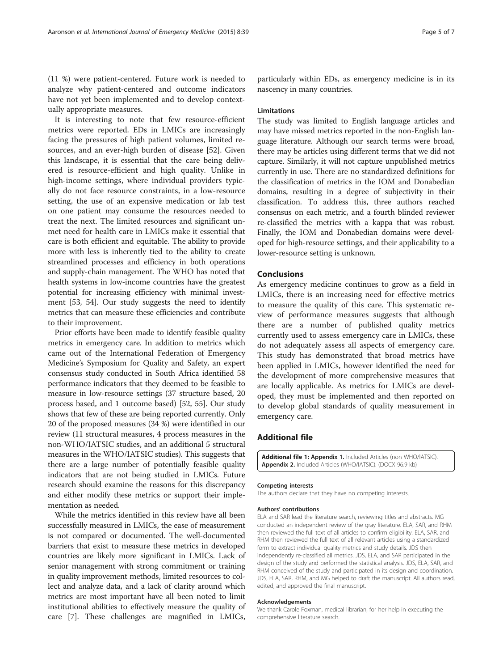<span id="page-5-0"></span>(11 %) were patient-centered. Future work is needed to analyze why patient-centered and outcome indicators have not yet been implemented and to develop contextually appropriate measures.

It is interesting to note that few resource-efficient metrics were reported. EDs in LMICs are increasingly facing the pressures of high patient volumes, limited resources, and an ever-high burden of disease [[52](#page-7-0)]. Given this landscape, it is essential that the care being delivered is resource-efficient and high quality. Unlike in high-income settings, where individual providers typically do not face resource constraints, in a low-resource setting, the use of an expensive medication or lab test on one patient may consume the resources needed to treat the next. The limited resources and significant unmet need for health care in LMICs make it essential that care is both efficient and equitable. The ability to provide more with less is inherently tied to the ability to create streamlined processes and efficiency in both operations and supply-chain management. The WHO has noted that health systems in low-income countries have the greatest potential for increasing efficiency with minimal investment [\[53, 54](#page-7-0)]. Our study suggests the need to identify metrics that can measure these efficiencies and contribute to their improvement.

Prior efforts have been made to identify feasible quality metrics in emergency care. In addition to metrics which came out of the International Federation of Emergency Medicine's Symposium for Quality and Safety, an expert consensus study conducted in South Africa identified 58 performance indicators that they deemed to be feasible to measure in low-resource settings (37 structure based, 20 process based, and 1 outcome based) [[52](#page-7-0), [55](#page-7-0)]. Our study shows that few of these are being reported currently. Only 20 of the proposed measures (34 %) were identified in our review (11 structural measures, 4 process measures in the non-WHO/IATSIC studies, and an additional 5 structural measures in the WHO/IATSIC studies). This suggests that there are a large number of potentially feasible quality indicators that are not being studied in LMICs. Future research should examine the reasons for this discrepancy and either modify these metrics or support their implementation as needed.

While the metrics identified in this review have all been successfully measured in LMICs, the ease of measurement is not compared or documented. The well-documented barriers that exist to measure these metrics in developed countries are likely more significant in LMICs. Lack of senior management with strong commitment or training in quality improvement methods, limited resources to collect and analyze data, and a lack of clarity around which metrics are most important have all been noted to limit institutional abilities to effectively measure the quality of care [\[7](#page-6-0)]. These challenges are magnified in LMICs,

particularly within EDs, as emergency medicine is in its nascency in many countries.

#### **Limitations**

The study was limited to English language articles and may have missed metrics reported in the non-English language literature. Although our search terms were broad, there may be articles using different terms that we did not capture. Similarly, it will not capture unpublished metrics currently in use. There are no standardized definitions for the classification of metrics in the IOM and Donabedian domains, resulting in a degree of subjectivity in their classification. To address this, three authors reached consensus on each metric, and a fourth blinded reviewer re-classified the metrics with a kappa that was robust. Finally, the IOM and Donabedian domains were developed for high-resource settings, and their applicability to a lower-resource setting is unknown.

#### Conclusions

As emergency medicine continues to grow as a field in LMICs, there is an increasing need for effective metrics to measure the quality of this care. This systematic review of performance measures suggests that although there are a number of published quality metrics currently used to assess emergency care in LMICs, these do not adequately assess all aspects of emergency care. This study has demonstrated that broad metrics have been applied in LMICs, however identified the need for the development of more comprehensive measures that are locally applicable. As metrics for LMICs are developed, they must be implemented and then reported on to develop global standards of quality measurement in emergency care.

#### Additional file

[Additional file 1:](dx.doi.org/10.1186/s12245-015-0088-x) Appendix 1. Included Articles (non WHO/IATSIC). Appendix 2. Included Articles (WHO/IATSIC). (DOCX 96.9 kb)

#### Competing interests

The authors declare that they have no competing interests.

#### Authors' contributions

ELA and SAR lead the literature search, reviewing titles and abstracts. MG conducted an independent review of the gray literature. ELA, SAR, and RHM then reviewed the full text of all articles to confirm eligibility. ELA, SAR, and RHM then reviewed the full text of all relevant articles using a standardized form to extract individual quality metrics and study details. JDS then independently re-classified all metrics. JDS, ELA, and SAR participated in the design of the study and performed the statistical analysis. JDS, ELA, SAR, and RHM conceived of the study and participated in its design and coordination. JDS, ELA, SAR, RHM, and MG helped to draft the manuscript. All authors read, edited, and approved the final manuscript.

#### Acknowledgements

We thank Carole Foxman, medical librarian, for her help in executing the comprehensive literature search.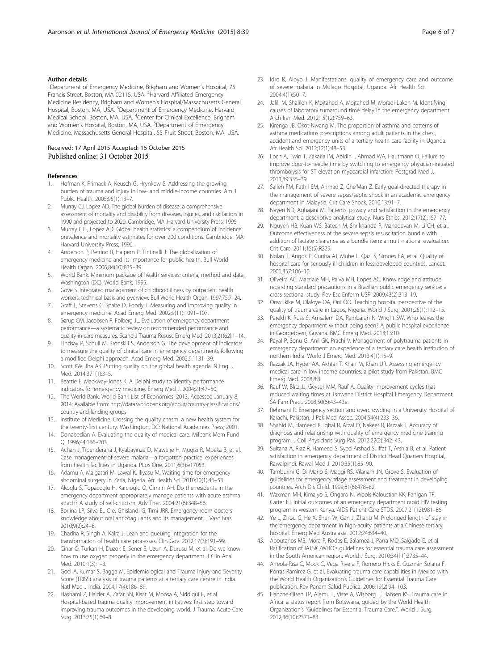#### <span id="page-6-0"></span>Author details

<sup>1</sup>Department of Emergency Medicine, Brigham and Women's Hospital, 75 Francis Street, Boston, MA 02115, USA. <sup>2</sup> Harvard Affiliated Emergency Medicine Residency, Brigham and Women's Hospital/Massachusetts General Hospital, Boston, MA, USA. <sup>3</sup>Department of Emergency Medicine, Harvard Medical School, Boston, MA, USA. <sup>4</sup>Center for Clinical Excellence, Brigham and Women's Hospital, Boston, MA, USA. <sup>5</sup>Department of Emergency Medicine, Massachusetts General Hospital, 55 Fruit Street, Boston, MA, USA.

#### Received: 17 April 2015 Accepted: 16 October 2015 Published online: 31 October 2015

#### References

- 1. Hofman K, Primack A, Keusch G, Hrynkow S. Addressing the growing burden of trauma and injury in low- and middle-income countries. Am J Public Health. 2005;95(1):13–7.
- 2. Murray CJ, Lopez AD. The global burden of disease: a comprehensive assessment of mortality and disability from diseases, injuries, and risk factors in 1990 and projected to 2020. Cambridge, MA: Harvard University Press; 1996.
- 3. Murray CJL, Lopez AD. Global health statistics: a compendium of incidence prevalence and mortality estimates for over 200 conditions. Cambridge, MA: Harvard University Press; 1996.
- 4. Anderson P, Petrino R, Halpern P, Tintinalli J. The globalization of emergency medicine and its importance for public health. Bull World Health Organ. 2006;84(10):835–39.
- 5. World Bank. Minimum package of health services: criteria, method and data. Washington (DC): World Bank; 1995.
- 6. Gove S. Integrated management of childhood illness by outpatient health workers: technical basis and overview. Bull World Health Organ. 1997;75:7–24.
- 7. Graff L, Stevens C, Spaite D, Foody J. Measuring and improving quality in emergency medicine. Acad Emerg Med. 2002;9(11):1091–107.
- 8. Sørup CM, Jacobsen P, Folberg JL. Evaluation of emergency department performance—a systematic review on recommended performance and quality-in-care measures. Scand J Trauma Resusc Emerg Med. 2013;21(62):1–14.
- 9. Lindsay P, Schull M, Bronskill S, Anderson G. The development of indicators to measure the quality of clinical care in emergency departments following a modified-Delphi approach. Acad Emerg Med. 2002;9:1131–39.
- 10. Scott KW, Jha AK. Putting quality on the global health agenda. N Engl J Med. 2014;371(1):3–5.
- 11. Beattie E, Mackway-Jones K. A Delphi study to identify performance indicators for emergency medicine. Emerg Med J. 2004;21:47–50.
- 12. The World Bank. World Bank List of Economies. 2013. Accessed January 8, 2014; Available from: [http://data.worldbank.org/about/country-classifications/](http://data.worldbank.org/about/country-classifications/country-and-lending-groups) [country-and-lending-groups](http://data.worldbank.org/about/country-classifications/country-and-lending-groups)
- 13. Institute of Medicine. Crossing the quality chasm: a new health system for the twenty-first century. Washington, DC: National Academies Press; 2001.
- 14. Donabedian A. Evaluating the quality of medical care. Milbank Mem Fund Q. 1996;44:166–203.
- 15. Achan J, Tibenderana J, Kyabayinze D, Mawejje H, Mugizi R, Mpeka B, et al. Case management of severe malaria—a forgotten practice: experiences from health facilities in Uganda. PLos One. 2011;6(3):e17053.
- 16. Adamu A, Maigatari M, Lawal K, Iliyasu M. Waiting time for emergency abdominal surgery in Zaria, Nigeria. Afr Health Sci. 2010;10(1):46–53.
- 17. Akoglu S, Topacoglu H, Karcioglu O, Cimrin AH. Do the residents in the emergency department appropriately manage patients with acute asthma attach? A study of self-criticism. Adv Ther. 2004;21(6):348–56.
- 18. Borlina LP, Silva EL C e, Ghislandi G, Timi JRR. Emergency-room doctors' knowledge about oral anticoagulants and its management. J Vasc Bras. 2010;9(2):24–8.
- 19. Chadha R, Singh A, Kalra J. Lean and queuing integration for the transformation of health care processes. Clin Gov. 2012;17(3):191–99.
- 20. Cinar O, Turkan H, Duzok E, Sener S, Uzun A, Durusu M, et al. Do we know how to use oxygen properly in the emergency department. J Clin Anal Med. 2010;1(3):1–3.
- 21. Goel A, Kumar S, Bagga M. Epidemiological and Trauma Injury and Severity Score (TRISS) analysis of trauma patients at a tertiary care centre in India. Natl Med J India. 2004;17(4):186–89.
- 22. Hashami Z, Haider A, Zafar SN, Kisat M, Moosa A, Siddiqui F, et al. Hospital-based trauma quality improvement initiatives: first step toward improving trauma outcomes in the developing world. J Trauma Acute Care Surg. 2013;75(1):60–8.
- 23. Idro R, Aloyo J. Manifestations, quality of emergency care and outcome of severe malaria in Mulago Hospital, Uganda. Afr Health Sci. 2004;4(1):50–7.
- 24. Jalili M, Shalileh K, Mojtahed A, Mojtahed M, Moradi-Lakeh M. Identifying causes of laboratory turnaround time delay in the emergency department. Arch Iran Med. 2012;15(12):759–63.
- 25. Kirenga JB, Okot-Nwang M. The proportion of asthma and patterns of asthma medications prescriptions among adult patients in the chest, accident and emergency units of a tertiary health care facility in Uganda. Afr Health Sci. 2012;12(1):48–53.
- 26. Loch A, Twin T, Zakaria IM, Abidin I, Ahmad WA, Hautmann O. Failure to improve door-to-needle time by switching to emergency physician-initiated thrombolysis for ST elevation myocardial infarction. Postgrad Med J. 2013;89:335–39.
- 27. Salleh FM, Fathil SM, Ahmad Z, Che'Man Z. Early goal-directed therapy in the management of severe sepsis/septic shock in an academic emergency department in Malaysia. Crit Care Shock. 2010;13:91–7.
- 28. Nayeri ND, Aghajani M. Patients' privacy and satisfaction in the emergency department: a descriptive analytical study. Nurs Ethics. 2012;17(2):167–77.
- 29. Nguyen HB, Kuan WS, Batech M, Shrikhande P, Mahadevan M, Li CH, et al. Outcome effectiveness of the severe sepsis resuscitation bundle with addition of lactate clearance as a bundle item: a multi-national evaluation. Crit Care. 2011;15(5):R229.
- 30. Nolan T, Angos P, Cunha AJ, Muhe L, Qazi S, Simoes EA, et al. Quality of hospital care for seriously ill children in less-developed countries. Lancet. 2001;357:106–10.
- 31. Oliveira AC, Marziale MH, Paiva MH, Lopes AC. Knowledge and attitude regarding standard precautions in a Brazilian public emergency service: a cross-sectional study. Rev Esc Enferm USP. 2009;43(2):313–19.
- 32. Onwukike M, Olaloye OA, Oni OO. Teaching hospital perspective of the quality of trauma care in Lagos, Nigeria. World J Surg. 2001;25(1):112–15.
- 33. Parekh K, Russ S, Amsalem DA, Rambaran N, Wright SW. Who leaves the emergency department without being seen? A public hospital experience in Georgetown, Guyana. BMC Emerg Med. 2013;13:10.
- 34. Payal P, Sonu G, Anil GK, Prachi V. Management of polytrauma patients in emergency department: an experience of a tertiary care health institution of northern India. World J Emerg Med. 2013;4(1):15–9.
- 35. Razzak JA, Hyder AA, Akhtar T, Khan M, Khan UR. Assessing emergency medical care in low income countries: a pilot study from Pakistan. BMC Emerg Med. 2008;8:8.
- 36. Rauf W, Blitz JJ, Geyser MM, Rauf A. Quality improvement cycles that reduced waiting times at Tshwane District Hospital Emergency Department. SA Fam Pract. 2008;50(6):43–43e.
- 37. Rehmani R. Emergency section and overcrowding in a University Hospital of Karachi, Pakistan. J Pak Med Assoc. 2004;54(4):233–36.
- 38. Shahid M, Hameed K, Iqbal R, Afzal O, Nakeer R, Razzak J. Accuracy of diagnosis and relationship with quality of emergency medicine training program. J Coll Physicians Surg Pak. 2012;22(2):342–43.
- 39. Sultana A, Riaz R, Hameed S, Syed Arshad S, Iffat T, Arshia B, et al. Patient satisfaction in emergency department of District Head Quarters Hospital, Rawalpindi. Rawal Med J. 2010;35(1):85–90.
- 40. Tamburini G, Di Mario S, Maggi RS, Vilariam JN, Grove S. Evaluation of guidelines for emergency triage assessment and treatment in developing countries. Arch Dis Child. 1999;81(6):478–82.
- 41. Waxman MH, Kimaiyo S, Ongaro N, Wools-Kaloustian KK, Fanigan TP, Carter EJ. Initial outcomes of an emergency department rapid HIV testing program in western Kenya. AIDS Patient Care STDS. 2007;21(12):981–86.
- 42. Ye L, Zhou G, He X, Shen W, Gan J, Zhang M. Prolonged length of stay in the emergency department in high-acuity patients at a Chinese tertiary hospital. Emerg Med Australasia. 2012;24:634–40.
- 43. Aboutanos MB, Mora F, Rodas E, Salamea J, Parra MO, Salgado E, et al. Ratification of IATSIC/WHO's guidelines for essential trauma care assessment in the South American region. World J Surg. 2010;34(11):2735–44.
- 44. Arreola-Risa C, Mock C, Vega Rivera F, Romero Hicks E, Guzmán Solana F, Porras Ramírez G, et al. Evaluating trauma care capabilities in Mexico with the World Health Organization's Guidelines for Essential Trauma Care publication. Rev Panam Salud Publica. 2006;19(2):94–103.
- 45. Hanche-Olsen TP, Alemu L, Viste A, Wisborg T, Hansen KS. Trauma care in Africa: a status report from Botswana, guided by the World Health Organization's "Guidelines for Essential Trauma Care.". World J Surg. 2012;36(10):2371–83.